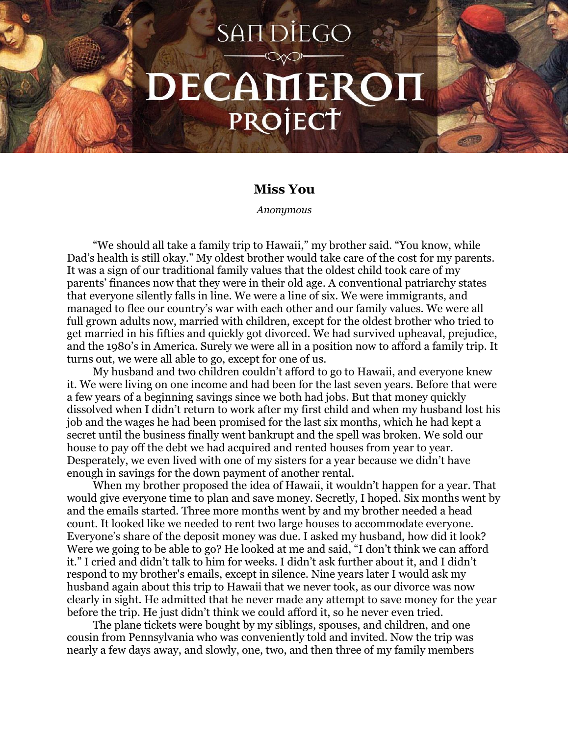## **SANDIEGO** DECAMEROH PROJECT

## **Miss You**

*Anonymous*

"We should all take a family trip to Hawaii," my brother said. "You know, while Dad's health is still okay." My oldest brother would take care of the cost for my parents. It was a sign of our traditional family values that the oldest child took care of my parents' finances now that they were in their old age. A conventional patriarchy states that everyone silently falls in line. We were a line of six. We were immigrants, and managed to flee our country's war with each other and our family values. We were all full grown adults now, married with children, except for the oldest brother who tried to get married in his fifties and quickly got divorced. We had survived upheaval, prejudice, and the 1980's in America. Surely we were all in a position now to afford a family trip. It turns out, we were all able to go, except for one of us.

My husband and two children couldn't afford to go to Hawaii, and everyone knew it. We were living on one income and had been for the last seven years. Before that were a few years of a beginning savings since we both had jobs. But that money quickly dissolved when I didn't return to work after my first child and when my husband lost his job and the wages he had been promised for the last six months, which he had kept a secret until the business finally went bankrupt and the spell was broken. We sold our house to pay off the debt we had acquired and rented houses from year to year. Desperately, we even lived with one of my sisters for a year because we didn't have enough in savings for the down payment of another rental.

When my brother proposed the idea of Hawaii, it wouldn't happen for a year. That would give everyone time to plan and save money. Secretly, I hoped. Six months went by and the emails started. Three more months went by and my brother needed a head count. It looked like we needed to rent two large houses to accommodate everyone. Everyone's share of the deposit money was due. I asked my husband, how did it look? Were we going to be able to go? He looked at me and said, "I don't think we can afford it." I cried and didn't talk to him for weeks. I didn't ask further about it, and I didn't respond to my brother's emails, except in silence. Nine years later I would ask my husband again about this trip to Hawaii that we never took, as our divorce was now clearly in sight. He admitted that he never made any attempt to save money for the year before the trip. He just didn't think we could afford it, so he never even tried.

The plane tickets were bought by my siblings, spouses, and children, and one cousin from Pennsylvania who was conveniently told and invited. Now the trip was nearly a few days away, and slowly, one, two, and then three of my family members